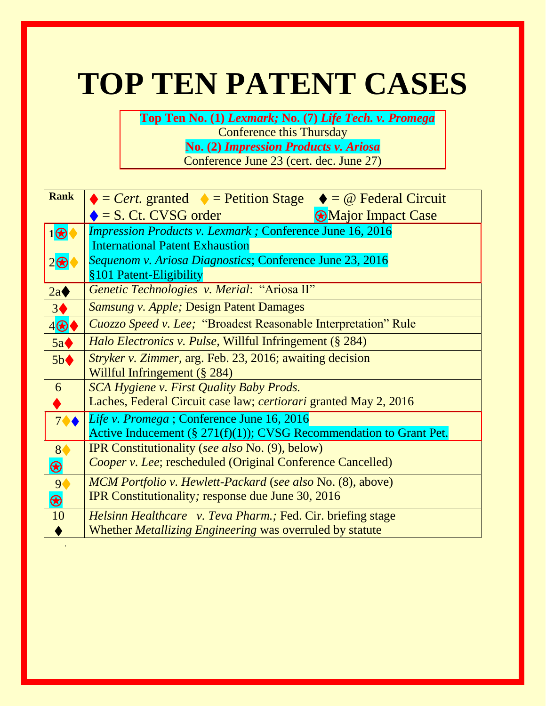# **TOP TEN PATENT CASES**

 **Top Ten No. (1)** *Lexmark;* **No. (7)** *Life Tech. v. Promega* Conference this Thursday **No. (2)** *Impression Products v. Ariosa* Conference June 23 (cert. dec. June 27)

| <b>Rank</b>               | $\bullet = Cert.$ granted $\bullet = Petition Stage \bullet = @ Federal Circuit$ |
|---------------------------|----------------------------------------------------------------------------------|
|                           | $\bullet$ = S. Ct. CVSG order<br><b>Major Impact Case</b>                        |
| $1\bigcircledR$           | <b>Impression Products v. Lexmark; Conference June 16, 2016</b>                  |
|                           | <b>International Patent Exhaustion</b>                                           |
| $2\bigcirc$               | Sequenom v. Ariosa Diagnostics; Conference June 23, 2016                         |
|                           | §101 Patent-Eligibility                                                          |
| 2a                        | Genetic Technologies v. Merial: "Ariosa II"                                      |
| 3 <sup>4</sup>            | <b>Samsung v. Apple; Design Patent Damages</b>                                   |
| $4\bigcirc$               | Cuozzo Speed v. Lee; "Broadest Reasonable Interpretation" Rule                   |
| 5a                        | Halo Electronics v. Pulse, Willful Infringement (§ 284)                          |
| 5b                        | <i>Stryker v. Zimmer, arg. Feb. 23, 2016; awaiting decision</i>                  |
|                           | Willful Infringement (§ 284)                                                     |
| 6                         | <b>SCA Hygiene v. First Quality Baby Prods.</b>                                  |
|                           | Laches, Federal Circuit case law; <i>certiorari</i> granted May 2, 2016          |
| $7 \spadesuit \spadesuit$ | Life v. Promega; Conference June 16, 2016                                        |
|                           | Active Inducement $(\S 271(f)(1))$ ; CVSG Recommendation to Grant Pet.           |
| 8                         | <b>IPR</b> Constitutionality (see also No. (9), below)                           |
| $\bigcirc$                | <i>Cooper v. Lee</i> ; rescheduled (Original Conference Cancelled)               |
| 9(                        | <b>MCM</b> Portfolio v. Hewlett-Packard (see also No. (8), above)                |
| $\bigcirc$                | IPR Constitutionality; response due June 30, 2016                                |
| 10                        | <i>Helsinn Healthcare v. Teva Pharm.; Fed. Cir. briefing stage</i>               |
|                           | Whether <i>Metallizing Engineering</i> was overruled by statute                  |
|                           |                                                                                  |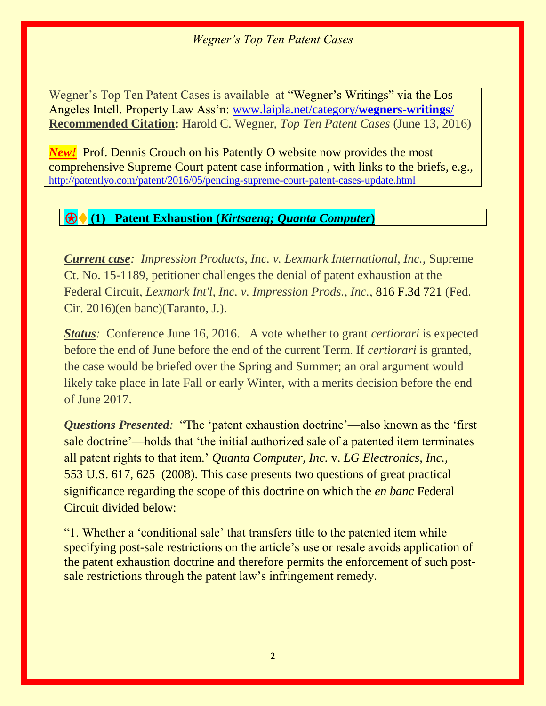Wegner's Top Ten Patent Cases is available at "Wegner's Writings" via the Los Angeles Intell. Property Law Ass'n: [www.laipla.net/category/](http://www.laipla.net/category/wegners-writings/)**wegners-writings**/ **Recommended Citation:** Harold C. Wegner, *Top Ten Patent Cases* (June 13, 2016)

*New!* Prof. Dennis Crouch on his Patently O website now provides the most comprehensive Supreme Court patent case information , with links to the briefs, e.g., <http://patentlyo.com/patent/2016/05/pending-supreme-court-patent-cases-update.html>

## ⍟♦ **(1) Patent Exhaustion (***Kirtsaeng; Quanta Computer***)**

*Current case: Impression Products, Inc. v. Lexmark International, Inc.,* Supreme Ct. No. 15-1189, petitioner challenges the denial of patent exhaustion at the Federal Circuit, *Lexmark Int'l, Inc. v. Impression Prods., Inc.,* 816 F.3d 721 (Fed. Cir. 2016)(en banc)(Taranto, J.).

*Status:* Conference June 16, 2016. A vote whether to grant *certiorari* is expected before the end of June before the end of the current Term. If *certiorari* is granted, the case would be briefed over the Spring and Summer; an oral argument would likely take place in late Fall or early Winter, with a merits decision before the end of June 2017.

*Questions Presented:* "The 'patent exhaustion doctrine'—also known as the 'first sale doctrine'—holds that 'the initial authorized sale of a patented item terminates all patent rights to that item.' *Quanta Computer, Inc.* v. *LG Electronics, Inc.,*  553 U.S. 617, 625 (2008). This case presents two questions of great practical significance regarding the scope of this doctrine on which the *en banc* Federal Circuit divided below:

"1. Whether a 'conditional sale' that transfers title to the patented item while specifying post-sale restrictions on the article's use or resale avoids application of the patent exhaustion doctrine and therefore permits the enforcement of such postsale restrictions through the patent law's infringement remedy.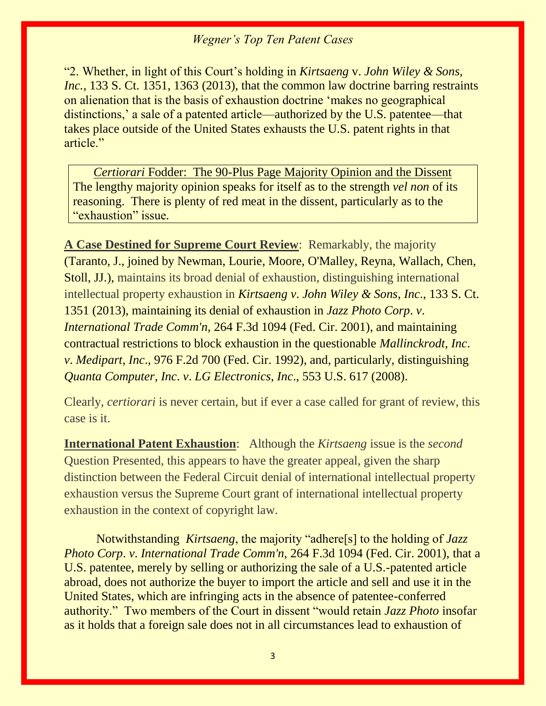"2. Whether, in light of this Court's holding in *Kirtsaeng* v. *John Wiley & Sons, Inc.*, 133 S. Ct. 1351, 1363 (2013), that the common law doctrine barring restraints on alienation that is the basis of exhaustion doctrine 'makes no geographical distinctions,' a sale of a patented article—authorized by the U.S. patentee—that takes place outside of the United States exhausts the U.S. patent rights in that article."

*Certiorari* Fodder: The 90-Plus Page Majority Opinion and the Dissent The lengthy majority opinion speaks for itself as to the strength *vel non* of its reasoning. There is plenty of red meat in the dissent, particularly as to the "exhaustion" issue*.*

**A Case Destined for Supreme Court Review**: Remarkably, the majority (Taranto, J., joined by Newman, Lourie, Moore, O'Malley, Reyna, Wallach, Chen, Stoll, JJ.), maintains its broad denial of exhaustion, distinguishing international intellectual property exhaustion in *Kirtsaeng v*. *John Wiley & Sons*, *Inc*., 133 S. Ct. 1351 (2013), maintaining its denial of exhaustion in *Jazz Photo Corp*. *v*. *International Trade Comm'n,* 264 F.3d 1094 (Fed. Cir. 2001), and maintaining contractual restrictions to block exhaustion in the questionable *Mallinckrodt*, *Inc*. *v*. *Medipart*, *Inc*., 976 F.2d 700 (Fed. Cir. 1992), and, particularly, distinguishing *Quanta Computer*, *Inc*. *v*. *LG Electronics*, *Inc*., 553 U.S. 617 (2008).

Clearly, *certiorari* is never certain, but if ever a case called for grant of review, this case is it.

**International Patent Exhaustion**: Although the *Kirtsaeng* issue is the *second*  Question Presented, this appears to have the greater appeal, given the sharp distinction between the Federal Circuit denial of international intellectual property exhaustion versus the Supreme Court grant of international intellectual property exhaustion in the context of copyright law.

Notwithstanding *Kirtsaeng*, the majority "adhere[s] to the holding of *Jazz Photo Corp*. *v*. *International Trade Comm'n,* 264 F.3d 1094 (Fed. Cir. 2001), that a U.S. patentee, merely by selling or authorizing the sale of a U.S.-patented article abroad, does not authorize the buyer to import the article and sell and use it in the United States, which are infringing acts in the absence of patentee-conferred authority." Two members of the Court in dissent "would retain *Jazz Photo* insofar as it holds that a foreign sale does not in all circumstances lead to exhaustion of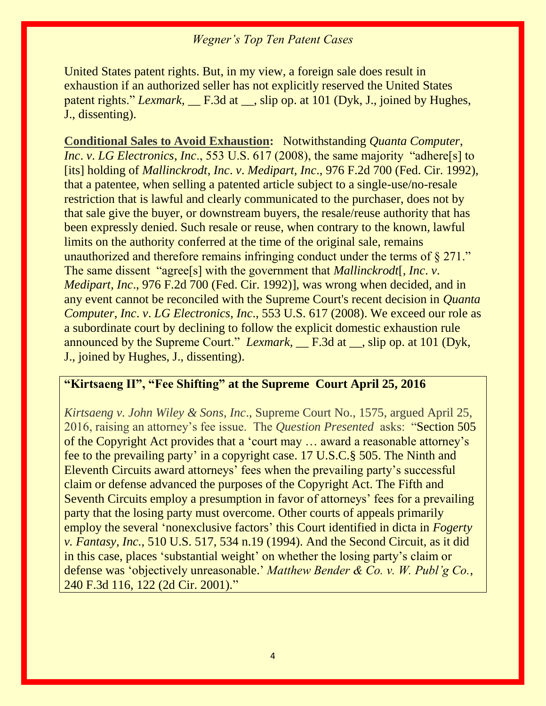United States patent rights. But, in my view, a foreign sale does result in exhaustion if an authorized seller has not explicitly reserved the United States patent rights." *Lexmark*, <u>F.3d at , slip op. at 101 (Dyk, J.</u>, joined by Hughes, J., dissenting).

**Conditional Sales to Avoid Exhaustion:** Notwithstanding *Quanta Computer*, *Inc. v. LG Electronics, Inc.,* 553 U.S. 617 (2008), the same majority "adhere<sup>[s]</sup> to [its] holding of *Mallinckrodt*, *Inc*. *v*. *Medipart*, *Inc*., 976 F.2d 700 (Fed. Cir. 1992), that a patentee, when selling a patented article subject to a single-use/no-resale restriction that is lawful and clearly communicated to the purchaser, does not by that sale give the buyer, or downstream buyers, the resale/reuse authority that has been expressly denied. Such resale or reuse, when contrary to the known, lawful limits on the authority conferred at the time of the original sale, remains unauthorized and therefore remains infringing conduct under the terms of § 271." The same dissent "agree[s] with the government that *Mallinckrodt*[, *Inc*. *v*. *Medipart*, *Inc*., 976 F.2d 700 (Fed. Cir. 1992)], was wrong when decided, and in any event cannot be reconciled with the Supreme Court's recent decision in *Quanta Computer*, *Inc*. *v*. *LG Electronics*, *Inc*., [553 U.S. 617 \(2008\).](https://apps.fastcase.com/CaseLawPortal/Pages/Secure/Document.aspx?LTID=6Xz9mv8jjMfNCjECqc2%2frnwttHs8K%2f1%2fykEllXImRO4WUkZRSDN4A%2fcjzSQVAVe2YRmgdgkUoRcnb4Wfio7zKSpjbVvf5oR8uE%2badss9R1UF1bCGSsibYhE8ooPoikm67%2fipWhHG%2bKcrQDk%2fa6z8pMnY3zgOrhm6Yh8Y5uebQ9A%3d&ECF=553+U.S.+617+(2008)) We exceed our role as a subordinate court by declining to follow the explicit domestic exhaustion rule announced by the Supreme Court." *Lexmark*, <u>F.3d at Superings</u> at 101 (Dyk, J., joined by Hughes, J., dissenting).

#### **"Kirtsaeng II", "Fee Shifting" at the Supreme Court April 25, 2016**

*Kirtsaeng v. John Wiley & Sons, Inc*., Supreme Court No., 1575, argued April 25, 2016, raising an attorney's fee issue. The *Question Presented* asks: "Section 505 of the Copyright Act provides that a 'court may … award a reasonable attorney's fee to the prevailing party' in a copyright case. 17 U.S.C.§ 505. The Ninth and Eleventh Circuits award attorneys' fees when the prevailing party's successful claim or defense advanced the purposes of the Copyright Act. The Fifth and Seventh Circuits employ a presumption in favor of attorneys' fees for a prevailing party that the losing party must overcome. Other courts of appeals primarily employ the several 'nonexclusive factors' this Court identified in dicta in *Fogerty v. Fantasy, Inc.*, 510 U.S. 517, 534 n.19 (1994). And the Second Circuit, as it did in this case, places 'substantial weight' on whether the losing party's claim or defense was 'objectively unreasonable.' *Matthew Bender & Co. v. W. Publ'g Co.*, 240 F.3d 116, 122 (2d Cir. 2001)."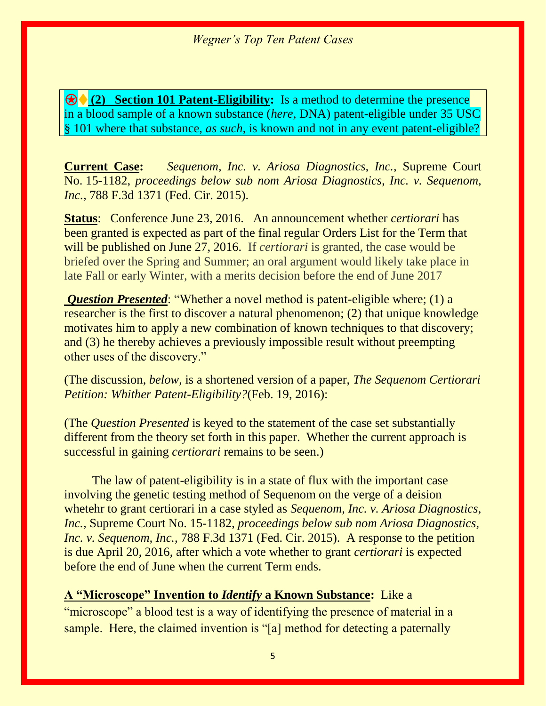⍟♦ **(2) Section 101 Patent-Eligibility:** Is a method to determine the presence in a blood sample of a known substance (*here,* DNA) patent-eligible under 35 USC § 101 where that substance, *as such,* is known and not in any event patent-eligible?

**Current Case:** *Sequenom, Inc. v. Ariosa Diagnostics, Inc.,* Supreme Court No. 15-1182, *proceedings below sub nom Ariosa Diagnostics, Inc. v. Sequenom, Inc., 788 F.3d 1371 (Fed. Cir. 2015).* 

**Status**: Conference June 23, 2016. An announcement whether *certiorari* has been granted is expected as part of the final regular Orders List for the Term that will be published on June 27, 2016. If *certiorari* is granted, the case would be briefed over the Spring and Summer; an oral argument would likely take place in late Fall or early Winter, with a merits decision before the end of June 2017

*Question Presented*: "Whether a novel method is patent-eligible where; (1) a researcher is the first to discover a natural phenomenon; (2) that unique knowledge motivates him to apply a new combination of known techniques to that discovery; and (3) he thereby achieves a previously impossible result without preempting other uses of the discovery."

(The discussion, *below,* is a shortened version of a paper, *The Sequenom Certiorari Petition: Whither Patent-Eligibility?*(Feb. 19, 2016):

(The *Question Presented* is keyed to the statement of the case set substantially different from the theory set forth in this paper. Whether the current approach is successful in gaining *certiorari* remains to be seen.)

The law of patent-eligibility is in a state of flux with the important case involving the genetic testing method of Sequenom on the verge of a deision whetehr to grant certiorari in a case styled as *Sequenom, Inc. v. Ariosa Diagnostics, Inc.,* Supreme Court No. 15-1182, *proceedings below sub nom Ariosa Diagnostics, Inc. v. Sequenom, Inc., 788 F.3d 1371 (Fed. Cir. 2015). A response to the petition* is due April 20, 2016, after which a vote whether to grant *certiorari* is expected before the end of June when the current Term ends.

**A "Microscope" Invention to** *Identify* **a Known Substance:** Like a "microscope" a blood test is a way of identifying the presence of material in a sample. Here, the claimed invention is "[a] method for detecting a paternally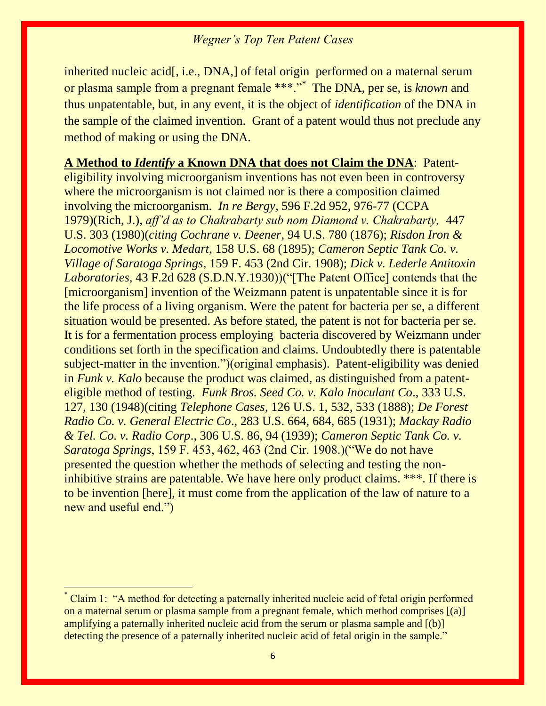inherited nucleic acid[, i.e., DNA,] of fetal origin performed on a maternal serum or plasma sample from a pregnant female \*\*\*."\* The DNA, per se, is *known* and thus unpatentable, but, in any event, it is the object of *identification* of the DNA in the sample of the claimed invention. Grant of a patent would thus not preclude any method of making or using the DNA.

**A Method to** *Identify* **a Known DNA that does not Claim the DNA**: Patenteligibility involving microorganism inventions has not even been in controversy where the microorganism is not claimed nor is there a composition claimed involving the microorganism. *In re Bergy,* 596 F.2d 952, 976-77 (CCPA 1979)(Rich, J.), *aff'd as to Chakrabarty sub nom Diamond v. Chakrabarty,* 447 U.S. 303 (1980)(*citing Cochrane v. Deener*, 94 U.S. 780 (1876); *Risdon Iron & Locomotive Works v. Medart*, 158 U.S. 68 (1895); *Cameron Septic Tank Co. v. Village of Saratoga Springs*, 159 F. 453 (2nd Cir. 1908); *Dick v. Lederle Antitoxin Laboratories,* 43 F.2d 628 (S.D.N.Y.1930))("[The Patent Office] contends that the [microorganism] invention of the Weizmann patent is unpatentable since it is for the life process of a living organism. Were the patent for bacteria per se, a different situation would be presented. As before stated, the patent is not for bacteria per se. It is for a fermentation process employing bacteria discovered by Weizmann under conditions set forth in the specification and claims. Undoubtedly there is patentable subject-matter in the invention.")(original emphasis). Patent-eligibility was denied in *Funk v. Kalo* because the product was claimed, as distinguished from a patenteligible method of testing. *Funk Bros. Seed Co. v. Kalo Inoculant Co*., 333 U.S. 127, 130 (1948)(citing *Telephone Cases*, 126 U.S. 1, 532, 533 (1888); *De Forest Radio Co. v. General Electric Co*., 283 U.S. 664, 684, 685 (1931); *Mackay Radio & Tel. Co. v. Radio Corp*., 306 U.S. 86, 94 (1939); *Cameron Septic Tank Co. v. Saratoga Springs*, 159 F. 453, 462, 463 (2nd Cir. 1908.)("We do not have presented the question whether the methods of selecting and testing the noninhibitive strains are patentable. We have here only product claims. \*\*\*. If there is to be invention [here], it must come from the application of the law of nature to a new and useful end.")

 $\overline{a}$ 

Claim 1: "A method for detecting a paternally inherited nucleic acid of fetal origin performed on a maternal serum or plasma sample from a pregnant female, which method comprises [(a)] amplifying a paternally inherited nucleic acid from the serum or plasma sample and [(b)] detecting the presence of a paternally inherited nucleic acid of fetal origin in the sample."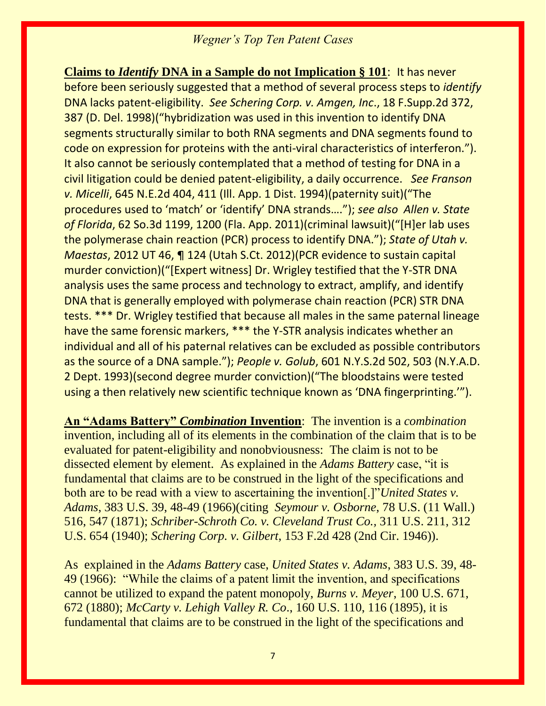**Claims to** *Identify* **DNA in a Sample do not Implication § 101**: It has never before been seriously suggested that a method of several process steps to *identify*  DNA lacks patent-eligibility. *See Schering Corp. v. Amgen, Inc*., 18 F.Supp.2d 372, 387 (D. Del. 1998)("hybridization was used in this invention to identify DNA segments structurally similar to both RNA segments and DNA segments found to code on expression for proteins with the anti-viral characteristics of interferon."). It also cannot be seriously contemplated that a method of testing for DNA in a civil litigation could be denied patent-eligibility, a daily occurrence. *See Franson v. Micelli*, 645 N.E.2d 404, 411 (Ill. App. 1 Dist. 1994)(paternity suit)("The procedures used to 'match' or 'identify' DNA strands…."); *see also Allen v. State of Florida*, 62 So.3d 1199, 1200 (Fla. App. 2011)(criminal lawsuit)("[H]er lab uses the polymerase chain reaction (PCR) process to identify DNA."); *State of Utah v. Maestas*, 2012 UT 46, ¶ 124 (Utah S.Ct. 2012)(PCR evidence to sustain capital murder conviction)("[Expert witness] Dr. Wrigley testified that the Y-STR DNA analysis uses the same process and technology to extract, amplify, and identify DNA that is generally employed with polymerase chain reaction (PCR) STR DNA tests. \*\*\* Dr. Wrigley testified that because all males in the same paternal lineage have the same forensic markers, \*\*\* the Y-STR analysis indicates whether an individual and all of his paternal relatives can be excluded as possible contributors as the source of a DNA sample."); *People v. Golub*, 601 N.Y.S.2d 502, 503 (N.Y.A.D. 2 Dept. 1993)(second degree murder conviction)("The bloodstains were tested using a then relatively new scientific technique known as 'DNA fingerprinting.'").

**An "Adams Battery"** *Combination* **Invention**: The invention is a *combination*  invention*,* including all of its elements in the combination of the claim that is to be evaluated for patent-eligibility and nonobviousness: The claim is not to be dissected element by element.As explained in the *Adams Battery* case, "it is fundamental that claims are to be construed in the light of the specifications and both are to be read with a view to ascertaining the invention[.]"*United States v. Adams*, 383 U.S. 39, 48-49 (1966)(citing *Seymour v. Osborne*, 78 U.S. (11 Wall.) 516, 547 (1871); *Schriber-Schroth Co. v. Cleveland Trust Co.,* 311 U.S. 211, 312 U.S. 654 (1940); *Schering Corp. v. Gilbert*, 153 F.2d 428 (2nd Cir. 1946)).

As explained in the *Adams Battery* case, *United States v. Adams*, 383 U.S. 39, 48- 49 (1966): "While the claims of a patent limit the invention, and specifications cannot be utilized to expand the patent monopoly, *Burns v. Meyer*, 100 U.S. 671, 672 (1880); *McCarty v. Lehigh Valley R. Co*., 160 U.S. 110, 116 (1895), it is fundamental that claims are to be construed in the light of the specifications and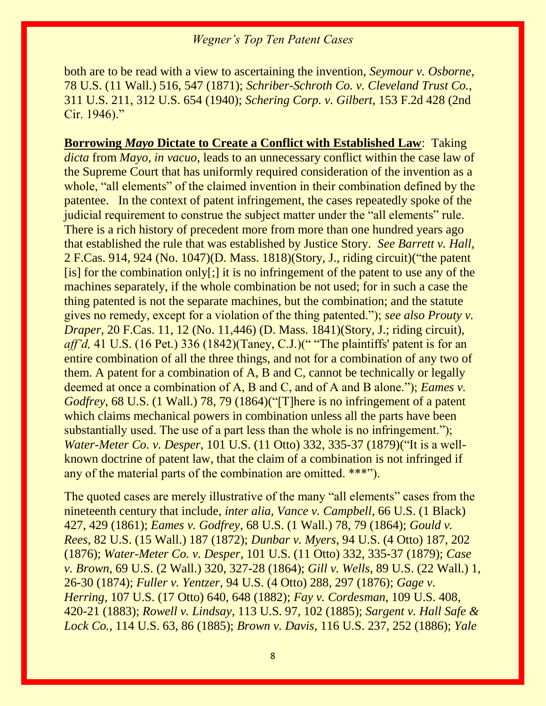both are to be read with a view to ascertaining the invention, *Seymour v. Osborne*, 78 U.S. (11 Wall.) 516, 547 (1871); *Schriber-Schroth Co. v. Cleveland Trust Co.,* 311 U.S. 211, 312 U.S. 654 (1940); *Schering Corp. v. Gilbert*, 153 F.2d 428 (2nd Cir. 1946)."

**Borrowing** *Mayo* **Dictate to Create a Conflict with Established Law**: Taking *dicta* from *Mayo, in vacuo,* leads to an unnecessary conflict within the case law of the Supreme Court that has uniformly required consideration of the invention as a whole, "all elements" of the claimed invention in their combination defined by the patentee. In the context of patent infringement, the cases repeatedly spoke of the judicial requirement to construe the subject matter under the "all elements" rule. There is a rich history of precedent more from more than one hundred years ago that established the rule that was established by Justice Story. *See Barrett v. Hall,*  2 F.Cas. 914, 924 (No. 1047)(D. Mass. 1818)(Story, J., riding circuit)("the patent [is] for the combination only[;] it is no infringement of the patent to use any of the machines separately, if the whole combination be not used; for in such a case the thing patented is not the separate machines, but the combination; and the statute gives no remedy, except for a violation of the thing patented."); *see also Prouty v. Draper, 20 F.Cas. 11, 12 (No. 11,446) (D. Mass. 1841) (Story, J.; riding circuit), aff'd*, 41 U.S. (16 Pet.) 336 (1842)(Taney, C.J.)(" "The plaintiffs' patent is for an entire combination of all the three things, and not for a combination of any two of them. A patent for a combination of A, B and C, cannot be technically or legally deemed at once a combination of A, B and C, and of A and B alone."); *Eames v. Godfrey*, 68 U.S. (1 Wall.) 78, 79 (1864)("[T]here is no infringement of a patent which claims mechanical powers in combination unless all the parts have been substantially used. The use of a part less than the whole is no infringement."); *Water-Meter Co. v. Desper*, 101 U.S. (11 Otto) 332, 335-37 (1879)("It is a wellknown doctrine of patent law, that the claim of a combination is not infringed if any of the material parts of the combination are omitted. \*\*\*").

The quoted cases are merely illustrative of the many "all elements" cases from the nineteenth century that include, *inter alia, Vance v. Campbell*, 66 U.S. (1 Black) 427, 429 (1861); *Eames v. Godfrey*, 68 U.S. (1 Wall.) 78, 79 (1864); *Gould v. Rees*, 82 U.S. (15 Wall.) 187 (1872); *Dunbar v. Myers*, 94 U.S. (4 Otto) 187, 202 (1876); *Water-Meter Co. v. Desper*, 101 U.S. (11 Otto) 332, 335-37 (1879); *Case v. Brown*, 69 U.S. (2 Wall.) 320, 327-28 (1864); *Gill v. Wells*, 89 U.S. (22 Wall.) 1, 26-30 (1874); *Fuller v. Yentzer*, 94 U.S. (4 Otto) 288, 297 (1876); *Gage v. Herring*, 107 U.S. (17 Otto) 640, 648 (1882); *Fay v. Cordesman*, 109 U.S. 408, 420-21 (1883); *Rowell v. Lindsay*, 113 U.S. 97, 102 (1885); *Sargent v. Hall Safe & Lock Co.*, 114 U.S. 63, 86 (1885); *Brown v. Davis*, 116 U.S. 237, 252 (1886); *Yale*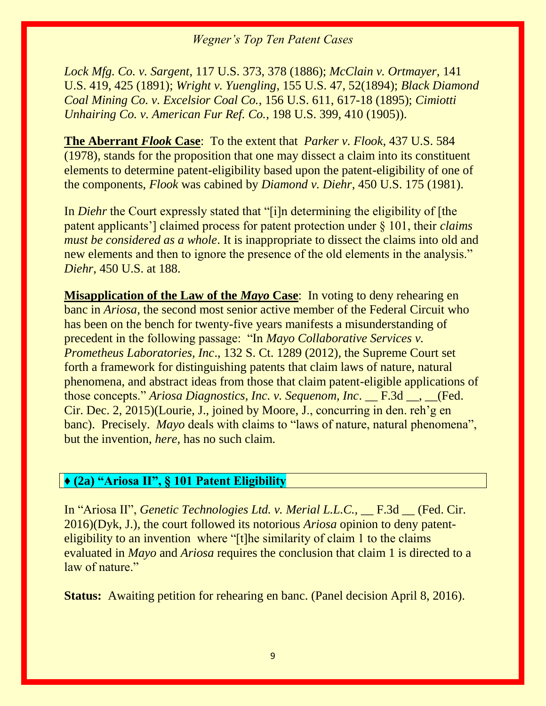*Lock Mfg. Co. v. Sargent*, 117 U.S. 373, 378 (1886); *McClain v. Ortmayer*, 141 U.S. 419, 425 (1891); *Wright v. Yuengling*, 155 U.S. 47, 52(1894); *Black Diamond Coal Mining Co. v. Excelsior Coal Co.*, 156 U.S. 611, 617-18 (1895); *Cimiotti Unhairing Co. v. American Fur Ref. Co.*, 198 U.S. 399, 410 (1905)).

**The Aberrant** *Flook* **Case**: To the extent that *Parker v. Flook*, 437 U.S. 584 (1978), stands for the proposition that one may dissect a claim into its constituent elements to determine patent-eligibility based upon the patent-eligibility of one of the components, *Flook* was cabined by *Diamond v. Diehr*, 450 U.S. 175 (1981).

In *Diehr* the Court expressly stated that "[i]n determining the eligibility of [the patent applicants'] claimed process for patent protection under § 101, their *claims must be considered as a whole*. It is inappropriate to dissect the claims into old and new elements and then to ignore the presence of the old elements in the analysis." *Diehr*, 450 U.S. at 188.

**Misapplication of the Law of the** *Mayo* **Case**: In voting to deny rehearing en banc in *Ariosa,* the second most senior active member of the Federal Circuit who has been on the bench for twenty-five years manifests a misunderstanding of precedent in the following passage: "In *Mayo Collaborative Services v. Prometheus Laboratories, Inc*., 132 S. Ct. 1289 (2012), the Supreme Court set forth a framework for distinguishing patents that claim laws of nature, natural phenomena, and abstract ideas from those that claim patent-eligible applications of those concepts." *Ariosa Diagnostics, Inc. v. Sequenom, Inc*. \_\_ F.3d \_\_, \_\_(Fed. Cir. Dec. 2, 2015)(Lourie, J., joined by Moore, J., concurring in den. reh'g en banc). Precisely. *Mayo* deals with claims to "laws of nature, natural phenomena", but the invention, *here,* has no such claim.

#### **♦ (2a) "Ariosa II", § 101 Patent Eligibility**

In "Ariosa II", *Genetic Technologies Ltd. v. Merial L.L.C.*, <u>F.3d (Fed. Cir.</u>) 2016)(Dyk, J.), the court followed its notorious *Ariosa* opinion to deny patenteligibility to an invention where "[t]he similarity of claim 1 to the claims evaluated in *Mayo* and *Ariosa* requires the conclusion that claim 1 is directed to a law of nature."

**Status:** Awaiting petition for rehearing en banc. (Panel decision April 8, 2016).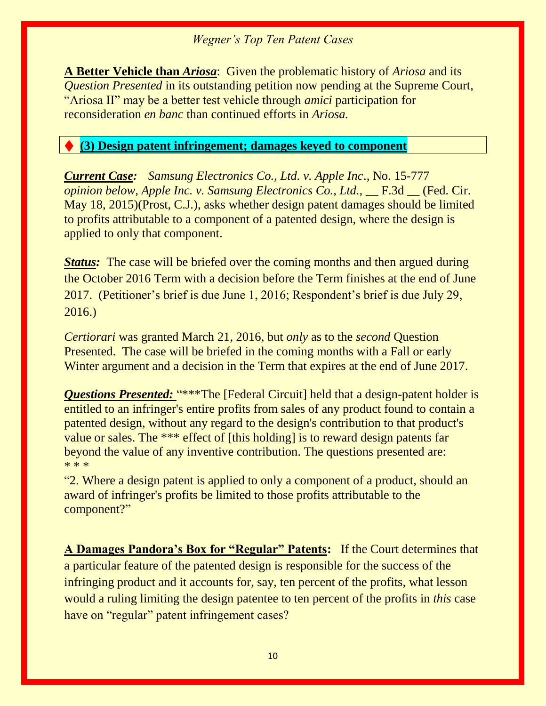**A Better Vehicle than** *Ariosa*: Given the problematic history of *Ariosa* and its *Question Presented in its outstanding petition now pending at the Supreme Court,* "Ariosa II" may be a better test vehicle through *amici* participation for reconsideration *en banc* than continued efforts in *Ariosa.*

### ♦ **(3) Design patent infringement; damages keyed to component**

*Current Case: Samsung Electronics Co., Ltd. v. Apple Inc*., No. 15-777 *opinion below, Apple Inc. v. Samsung Electronics Co., Ltd.,* \_\_ F.3d \_\_ (Fed. Cir. May 18, 2015)(Prost, C.J.), asks whether design patent damages should be limited to profits attributable to a component of a patented design, where the design is applied to only that component.

*Status:* The case will be briefed over the coming months and then argued during the October 2016 Term with a decision before the Term finishes at the end of June 2017. (Petitioner's brief is due June 1, 2016; Respondent's brief is due July 29, 2016.)

*Certiorari* was granted March 21, 2016, but *only* as to the *second* Question Presented. The case will be briefed in the coming months with a Fall or early Winter argument and a decision in the Term that expires at the end of June 2017.

*Questions Presented: "\*\*\*The [Federal Circuit] held that a design-patent holder is* entitled to an infringer's entire profits from sales of any product found to contain a patented design, without any regard to the design's contribution to that product's value or sales. The \*\*\* effect of [this holding] is to reward design patents far beyond the value of any inventive contribution. The questions presented are: \* \* \*

"2. Where a design patent is applied to only a component of a product, should an award of infringer's profits be limited to those profits attributable to the component?"

**A Damages Pandora's Box for "Regular" Patents:** If the Court determines that a particular feature of the patented design is responsible for the success of the infringing product and it accounts for, say, ten percent of the profits, what lesson would a ruling limiting the design patentee to ten percent of the profits in *this* case have on "regular" patent infringement cases?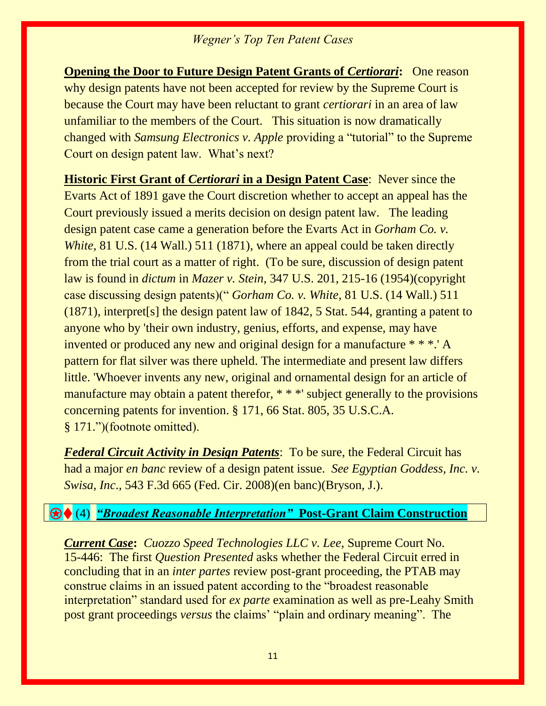**Opening the Door to Future Design Patent Grants of** *Certiorari***: One reason** why design patents have not been accepted for review by the Supreme Court is because the Court may have been reluctant to grant *certiorari* in an area of law unfamiliar to the members of the Court. This situation is now dramatically changed with *Samsung Electronics v. Apple* providing a "tutorial" to the Supreme Court on design patent law. What's next?

**Historic First Grant of** *Certiorari* **in a Design Patent Case**: Never since the Evarts Act of 1891 gave the Court discretion whether to accept an appeal has the Court previously issued a merits decision on design patent law. The leading design patent case came a generation before the Evarts Act in *Gorham Co. v. White,* 81 U.S. (14 Wall.) 511 (1871), where an appeal could be taken directly from the trial court as a matter of right. (To be sure, discussion of design patent law is found in *dictum* in *Mazer v. Stein*, 347 U.S. 201, 215-16 (1954)(copyright case discussing design patents)(" *Gorham Co. v. White*, 81 U.S. (14 Wall.) 511 (1871), interpret[s] the design patent law of 1842, 5 Stat. 544, granting a patent to anyone who by 'their own industry, genius, efforts, and expense, may have invented or produced any new and original design for a manufacture \* \* \*.' A pattern for flat silver was there upheld. The intermediate and present law differs little. 'Whoever invents any new, original and ornamental design for an article of manufacture may obtain a patent therefor, \* \* \*' subject generally to the provisions concerning patents for invention. § 171, 66 Stat. 805, 35 U.S.C.A. § 171.")(footnote omitted).

*Federal Circuit Activity in Design Patents*: To be sure, the Federal Circuit has had a major *en banc* review of a design patent issue. *See Egyptian Goddess, Inc. v. Swisa, Inc*., 543 F.3d 665 (Fed. Cir. 2008)(en banc)(Bryson, J.).

#### ⍟♦ (4) *"Broadest Reasonable Interpretation"* **Post-Grant Claim Construction**

*Current Case***:** *Cuozzo Speed Technologies LLC v. Lee,* Supreme Court No. 15-446: The first *Question Presented* asks whether the Federal Circuit erred in concluding that in an *inter partes* review post-grant proceeding, the PTAB may construe claims in an issued patent according to the "broadest reasonable interpretation" standard used for *ex parte* examination as well as pre-Leahy Smith post grant proceedings *versus* the claims' "plain and ordinary meaning". The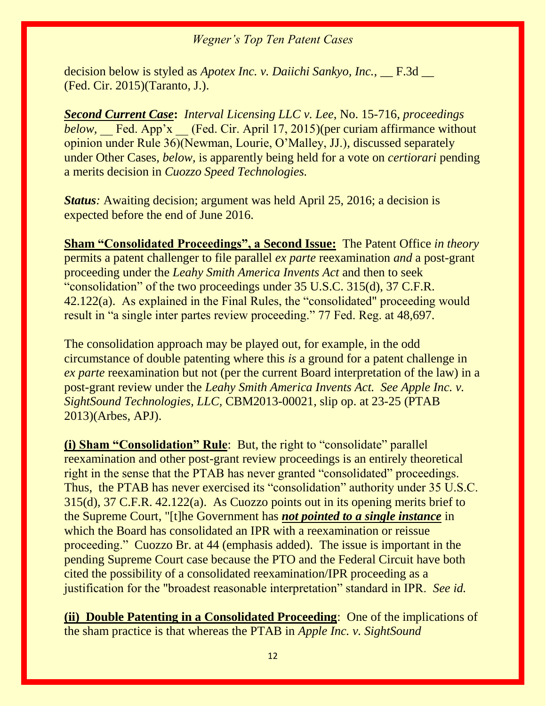decision below is styled as *Apotex Inc. v. Daiichi Sankyo, Inc.*, <u>\_\_</u> F.3d \_\_ (Fed. Cir. 2015)(Taranto, J.).

*Second Current Case***:** *Interval Licensing LLC v. Lee*, No. 15-716, *proceedings below,* \_\_ Fed. App'x \_\_ (Fed. Cir. April 17, 2015)(per curiam affirmance without opinion under Rule 36)(Newman, Lourie, O'Malley, JJ.), discussed separately under Other Cases, *below,* is apparently being held for a vote on *certiorari* pending a merits decision in *Cuozzo Speed Technologies.*

*Status*: Awaiting decision; argument was held April 25, 2016; a decision is expected before the end of June 2016.

**Sham "Consolidated Proceedings", a Second Issue:** The Patent Office *in theory*  permits a patent challenger to file parallel *ex parte* reexamination *and* a post-grant proceeding under the *Leahy Smith America Invents Act* and then to seek "consolidation" of the two proceedings under 35 U.S.C. 315(d), 37 C.F.R. 42.122(a). As explained in the Final Rules, the "consolidated" proceeding would result in "a single inter partes review proceeding." 77 Fed. Reg. at 48,697.

The consolidation approach may be played out, for example, in the odd circumstance of double patenting where this *is* a ground for a patent challenge in *ex parte reexamination but not (per the current Board interpretation of the law) in a* post-grant review under the *Leahy Smith America Invents Act. See Apple Inc. v. SightSound Technologies, LLC,* CBM2013-00021, slip op. at 23-25 (PTAB 2013)(Arbes, APJ).

**(i) Sham "Consolidation" Rule**: But, the right to "consolidate" parallel reexamination and other post-grant review proceedings is an entirely theoretical right in the sense that the PTAB has never granted "consolidated" proceedings. Thus, the PTAB has never exercised its "consolidation" authority under 35 U.S.C. 315(d), 37 C.F.R. 42.122(a). As Cuozzo points out in its opening merits brief to the Supreme Court, "[t]he Government has *not pointed to a single instance* in which the Board has consolidated an IPR with a reexamination or reissue proceeding." Cuozzo Br. at 44 (emphasis added). The issue is important in the pending Supreme Court case because the PTO and the Federal Circuit have both cited the possibility of a consolidated reexamination/IPR proceeding as a justification for the "broadest reasonable interpretation" standard in IPR. *See id.*

**(ii) Double Patenting in a Consolidated Proceeding**: One of the implications of the sham practice is that whereas the PTAB in *Apple Inc. v. SightSound*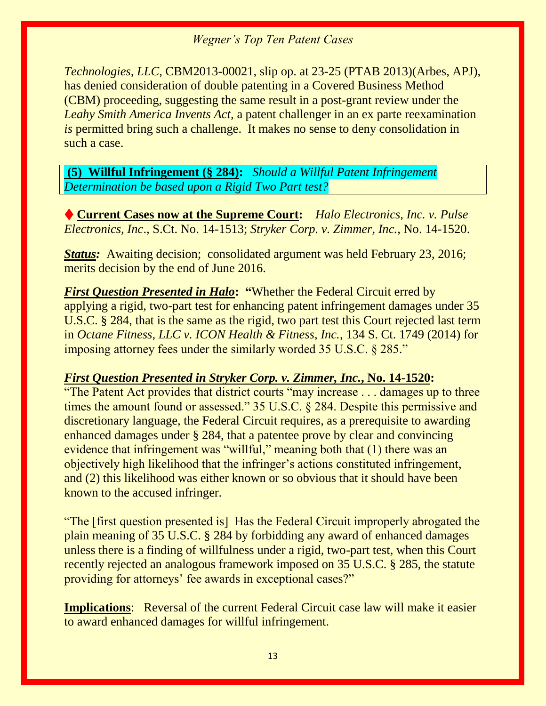*Technologies, LLC,* CBM2013-00021, slip op. at 23-25 (PTAB 2013)(Arbes, APJ), has denied consideration of double patenting in a Covered Business Method (CBM) proceeding, suggesting the same result in a post-grant review under the *Leahy Smith America Invents Act,* a patent challenger in an ex parte reexamination *is* permitted bring such a challenge. It makes no sense to deny consolidation in such a case.

**(5)****Willful Infringement (§ 284):** *Should a Willful Patent Infringement Determination be based upon a Rigid Two Part test?*

♦ **Current Cases now at the Supreme Court:** *Halo Electronics, Inc. v. Pulse Electronics, Inc*., S.Ct. No. 14-1513; *Stryker Corp. v. Zimmer, Inc.*, No. 14-1520.

*Status:* Awaiting decision; consolidated argument was held February 23, 2016; merits decision by the end of June 2016.

*First Question Presented in Halo***: "**Whether the Federal Circuit erred by applying a rigid, two-part test for enhancing patent infringement damages under 35 U.S.C. § 284, that is the same as the rigid, two part test this Court rejected last term in *Octane Fitness, LLC v. ICON Health & Fitness, Inc.*, 134 S. Ct. 1749 (2014) for imposing attorney fees under the similarly worded 35 U.S.C. § 285."

### *First Question Presented in Stryker Corp. v. Zimmer, Inc.***, No. 14-1520:**

"The Patent Act provides that district courts "may increase . . . damages up to three times the amount found or assessed." 35 U.S.C. § 284. Despite this permissive and discretionary language, the Federal Circuit requires, as a prerequisite to awarding enhanced damages under § 284, that a patentee prove by clear and convincing evidence that infringement was "willful," meaning both that (1) there was an objectively high likelihood that the infringer's actions constituted infringement, and (2) this likelihood was either known or so obvious that it should have been known to the accused infringer.

"The [first question presented is] Has the Federal Circuit improperly abrogated the plain meaning of 35 U.S.C. § 284 by forbidding any award of enhanced damages unless there is a finding of willfulness under a rigid, two-part test, when this Court recently rejected an analogous framework imposed on 35 U.S.C. § 285, the statute providing for attorneys' fee awards in exceptional cases?"

**Implications**: Reversal of the current Federal Circuit case law will make it easier to award enhanced damages for willful infringement.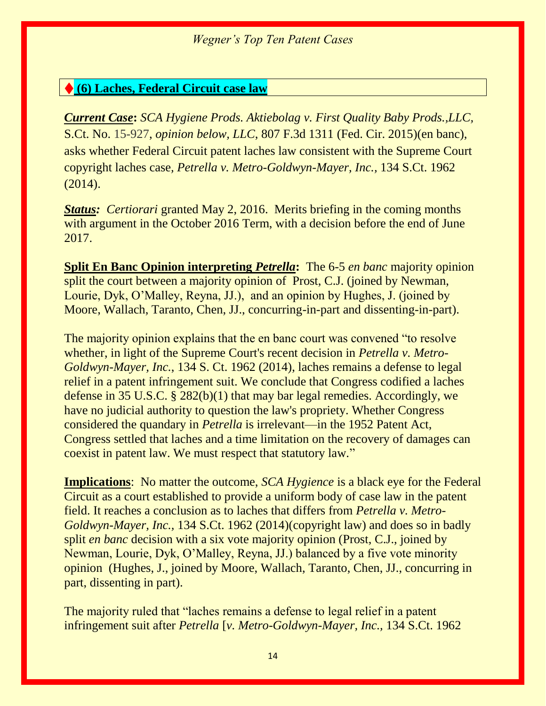#### ♦ **(6) Laches, Federal Circuit case law**

*Current Case***:** *SCA Hygiene Prods. Aktiebolag v. First Quality Baby Prods.,LLC,*  S.Ct. No. 15-927, *opinion below, LLC*, 807 F.3d 1311 (Fed. Cir. 2015)(en banc), asks whether Federal Circuit patent laches law consistent with the Supreme Court copyright laches case*, Petrella v. Metro-Goldwyn-Mayer, Inc.,* 134 S.Ct. 1962 (2014).

*Status: Certiorari granted May 2, 2016. Merits briefing in the coming months* with argument in the October 2016 Term, with a decision before the end of June 2017.

**Split En Banc Opinion interpreting** *Petrella***:** The 6-5 *en banc* majority opinion split the court between a majority opinion of Prost, C.J. (joined by Newman, Lourie, Dyk, O'Malley, Reyna, JJ.), and an opinion by Hughes, J. (joined by Moore, Wallach, Taranto, Chen, JJ., concurring-in-part and dissenting-in-part).

The majority opinion explains that the en banc court was convened "to resolve whether, in light of the Supreme Court's recent decision in *Petrella v. Metro-Goldwyn-Mayer, Inc.*, 134 S. Ct. 1962 (2014), laches remains a defense to legal relief in a patent infringement suit. We conclude that Congress codified a laches defense in 35 U.S.C. § 282(b)(1) that may bar legal remedies. Accordingly, we have no judicial authority to question the law's propriety. Whether Congress considered the quandary in *Petrella* is irrelevant—in the 1952 Patent Act, Congress settled that laches and a time limitation on the recovery of damages can coexist in patent law. We must respect that statutory law."

**Implications**: No matter the outcome, *SCA Hygience* is a black eye for the Federal Circuit as a court established to provide a uniform body of case law in the patent field. It reaches a conclusion as to laches that differs from *Petrella v. Metro-Goldwyn-Mayer, Inc.,* 134 S.Ct. 1962 (2014)(copyright law) and does so in badly split *en banc* decision with a six vote majority opinion (Prost, C.J., joined by Newman, Lourie, Dyk, O'Malley, Reyna, JJ.) balanced by a five vote minority opinion (Hughes, J., joined by Moore, Wallach, Taranto, Chen, JJ., concurring in part, dissenting in part).

The majority ruled that "laches remains a defense to legal relief in a patent infringement suit after *Petrella* [*v. Metro-Goldwyn-Mayer, Inc.,* 134 S.Ct. 1962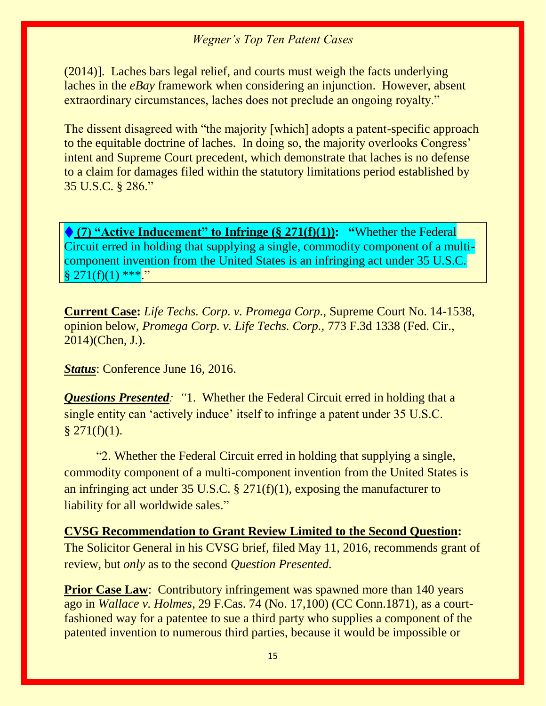(2014)]. Laches bars legal relief, and courts must weigh the facts underlying laches in the *eBay* framework when considering an injunction. However, absent extraordinary circumstances, laches does not preclude an ongoing royalty."

The dissent disagreed with "the majority [which] adopts a patent-specific approach to the equitable doctrine of laches. In doing so, the majority overlooks Congress' intent and Supreme Court precedent, which demonstrate that laches is no defense to a claim for damages filed within the statutory limitations period established by 35 U.S.C. § 286."

♦ **(7) "Active Inducement" to Infringe (§ 271(f)(1)): "**Whether the Federal Circuit erred in holding that supplying a single, commodity component of a multicomponent invention from the United States is an infringing act under 35 U.S.C.  $§ 271(f)(1) **$ ."

**Current Case:** *Life Techs. Corp. v. Promega Corp.,* Supreme Court No. 14-1538, opinion below, *Promega Corp. v. Life Techs. Corp.,* 773 F.3d 1338 (Fed. Cir., 2014)(Chen, J.).

*Status*: Conference June 16, 2016.

*Questions Presented: "*1. Whether the Federal Circuit erred in holding that a single entity can 'actively induce' itself to infringe a patent under 35 U.S.C.  $§$  271(f)(1).

"2. Whether the Federal Circuit erred in holding that supplying a single, commodity component of a multi-component invention from the United States is an infringing act under 35 U.S.C. § 271(f)(1), exposing the manufacturer to liability for all worldwide sales."

#### **CVSG Recommendation to Grant Review Limited to the Second Question:**

The Solicitor General in his CVSG brief, filed May 11, 2016, recommends grant of review, but *only* as to the second *Question Presented.* 

**Prior Case Law:** Contributory infringement was spawned more than 140 years ago in *Wallace v. Holmes*, 29 F.Cas. 74 (No. 17,100) (CC Conn.1871), as a courtfashioned way for a patentee to sue a third party who supplies a component of the patented invention to numerous third parties, because it would be impossible or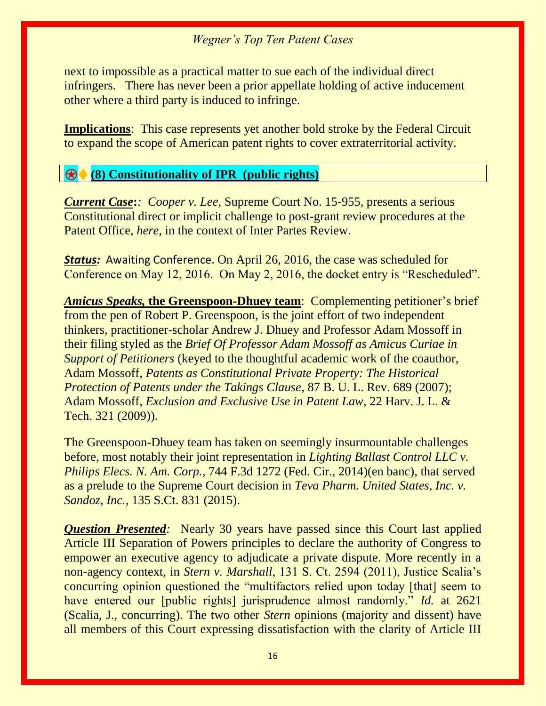next to impossible as a practical matter to sue each of the individual direct infringers. There has never been a prior appellate holding of active inducement other where a third party is induced to infringe.

**Implications**: This case represents yet another bold stroke by the Federal Circuit to expand the scope of American patent rights to cover extraterritorial activity.

#### ⍟♦ **(8) Constitutionality of IPR (public rights)**

*Current Case***:***: Cooper v. Lee,* Supreme Court No. 15-955, presents a serious Constitutional direct or implicit challenge to post-grant review procedures at the Patent Office, *here,* in the context of Inter Partes Review.

**Status:** Awaiting Conference. On April 26, 2016, the case was scheduled for Conference on May 12, 2016. On May 2, 2016, the docket entry is "Rescheduled".

*Amicus Speaks,* **the Greenspoon-Dhuey team**: Complementing petitioner's brief from the pen of Robert P. Greenspoon, is the joint effort of two independent thinkers, practitioner-scholar Andrew J. Dhuey and Professor Adam Mossoff in their filing styled as the *Brief Of Professor Adam Mossoff as Amicus Curiae in Support of Petitioners* (keyed to the thoughtful academic work of the coauthor, Adam Mossoff, *Patents as Constitutional Private Property: The Historical Protection of Patents under the Takings Clause*, 87 B. U. L. Rev. 689 (2007); Adam Mossoff, *Exclusion and Exclusive Use in Patent Law*, 22 Harv. J. L. & Tech. 321 (2009)).

The Greenspoon-Dhuey team has taken on seemingly insurmountable challenges before, most notably their joint representation in *Lighting Ballast Control LLC v. Philips Elecs. N. Am. Corp.,* 744 F.3d 1272 (Fed. Cir., 2014)(en banc), that served as a prelude to the Supreme Court decision in *Teva Pharm. United States, Inc. v. Sandoz, Inc.,* 135 S.Ct. 831 (2015).

*Question Presented:* Nearly 30 years have passed since this Court last applied Article III Separation of Powers principles to declare the authority of Congress to empower an executive agency to adjudicate a private dispute. More recently in a non-agency context, in *Stern v. Marshall*, 131 S. Ct. 2594 (2011), Justice Scalia's concurring opinion questioned the "multifactors relied upon today [that] seem to have entered our [public rights] jurisprudence almost randomly." *Id.* at 2621 (Scalia, J., concurring). The two other *Stern* opinions (majority and dissent) have all members of this Court expressing dissatisfaction with the clarity of Article III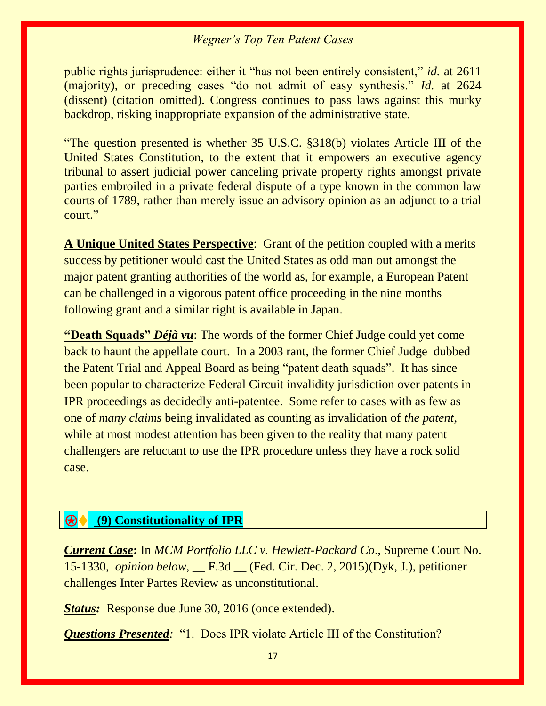public rights jurisprudence: either it "has not been entirely consistent," *id.* at 2611 (majority), or preceding cases "do not admit of easy synthesis." *Id.* at 2624 (dissent) (citation omitted). Congress continues to pass laws against this murky backdrop, risking inappropriate expansion of the administrative state.

"The question presented is whether 35 U.S.C. §318(b) violates Article III of the United States Constitution, to the extent that it empowers an executive agency tribunal to assert judicial power canceling private property rights amongst private parties embroiled in a private federal dispute of a type known in the common law courts of 1789, rather than merely issue an advisory opinion as an adjunct to a trial court."

**A Unique United States Perspective**: Grant of the petition coupled with a merits success by petitioner would cast the United States as odd man out amongst the major patent granting authorities of the world as, for example, a European Patent can be challenged in a vigorous patent office proceeding in the nine months following grant and a similar right is available in Japan.

**"Death Squads"** *Déjà vu*: The words of the former Chief Judge could yet come back to haunt the appellate court. In a 2003 rant, the former Chief Judge dubbed the Patent Trial and Appeal Board as being "patent death squads". It has since been popular to characterize Federal Circuit invalidity jurisdiction over patents in IPR proceedings as decidedly anti-patentee. Some refer to cases with as few as one of *many claims* being invalidated as counting as invalidation of *the patent*, while at most modest attention has been given to the reality that many patent challengers are reluctant to use the IPR procedure unless they have a rock solid case.

#### ⍟♦ **(9) Constitutionality of IPR**

*Current Case***:** In *MCM Portfolio LLC v. Hewlett-Packard Co*., Supreme Court No. 15-1330, *opinion below,* \_\_ F.3d \_\_ (Fed. Cir. Dec. 2, 2015)(Dyk, J.), petitioner challenges Inter Partes Review as unconstitutional.

*Status:* Response due June 30, 2016 (once extended).

*Questions Presented:* "1. Does IPR violate Article III of the Constitution?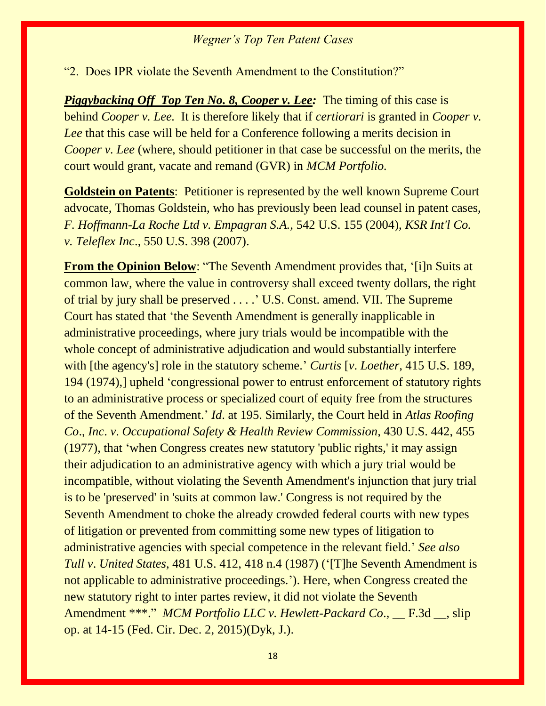"2. Does IPR violate the Seventh Amendment to the Constitution?"

*Piggybacking Off Top Ten No. 8, Cooper v. Lee:* The timing of this case is behind *Cooper v. Lee.* It is therefore likely that if *certiorari* is granted in *Cooper v. Lee* that this case will be held for a Conference following a merits decision in *Cooper v. Lee* (where, should petitioner in that case be successful on the merits, the court would grant, vacate and remand (GVR) in *MCM Portfolio.*

**Goldstein on Patents**: Petitioner is represented by the well known Supreme Court advocate, Thomas Goldstein, who has previously been lead counsel in patent cases, *F. Hoffmann-La Roche Ltd v. Empagran S.A.,* 542 U.S. 155 (2004), *KSR Int'l Co. v. Teleflex Inc*., 550 U.S. 398 (2007).

**From the Opinion Below:** "The Seventh Amendment provides that, '[i]n Suits at common law, where the value in controversy shall exceed twenty dollars, the right of trial by jury shall be preserved . . . .' U.S. Const. amend. VII. The Supreme Court has stated that 'the Seventh Amendment is generally inapplicable in administrative proceedings, where jury trials would be incompatible with the whole concept of administrative adjudication and would substantially interfere with [the agency's] role in the statutory scheme.' *Curtis* [*v*. *Loether,* 415 U.S. 189, 194 (1974),] upheld 'congressional power to entrust enforcement of statutory rights to an administrative process or specialized court of equity free from the structures of the Seventh Amendment.' *Id*. at 195. Similarly, the Court held in *Atlas Roofing Co*., *Inc*. *v*. *Occupational Safety & Health Review Commission,* 430 U.S. 442, 455 (1977), that 'when Congress creates new statutory 'public rights,' it may assign their adjudication to an administrative agency with which a jury trial would be incompatible, without violating the Seventh Amendment's injunction that jury trial is to be 'preserved' in 'suits at common law.' Congress is not required by the Seventh Amendment to choke the already crowded federal courts with new types of litigation or prevented from committing some new types of litigation to administrative agencies with special competence in the relevant field.' *See also Tull v*. *United States,* 481 U.S. 412, 418 n.4 (1987) ('[T]he Seventh Amendment is not applicable to administrative proceedings.'). Here, when Congress created the new statutory right to inter partes review, it did not violate the Seventh Amendment \*\*\*." *MCM Portfolio LLC v. Hewlett-Packard Co*., \_\_ F.3d \_\_, slip op. at 14-15 (Fed. Cir. Dec. 2, 2015)(Dyk, J.).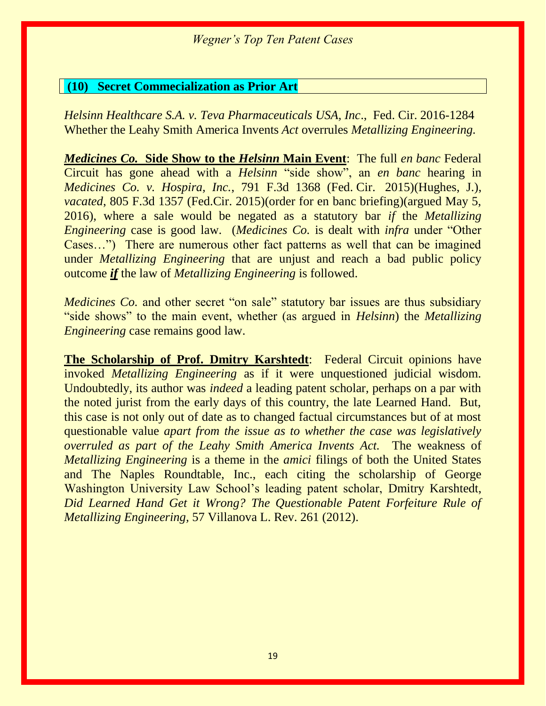#### **(10) Secret Commecialization as Prior Art**

*Helsinn Healthcare S.A. v. Teva Pharmaceuticals USA, Inc*., Fed. Cir. 2016-1284 Whether the Leahy Smith America Invents *Act* overrules *Metallizing Engineering.*

*Medicines Co.* **Side Show to the** *Helsinn* **Main Event**: The full *en banc* Federal Circuit has gone ahead with a *Helsinn* "side show", an *en banc* hearing in *Medicines Co. v. Hospira, Inc.*, 791 F.3d 1368 (Fed. Cir. 2015)(Hughes, J.), *vacated*, 805 F.3d 1357 (Fed.Cir. 2015)(order for en banc briefing)(argued May 5, 2016), where a sale would be negated as a statutory bar *if* the *Metallizing Engineering* case is good law. (*Medicines Co.* is dealt with *infra* under "Other Cases…") There are numerous other fact patterns as well that can be imagined under *Metallizing Engineering* that are unjust and reach a bad public policy outcome *if* the law of *Metallizing Engineering* is followed.

*Medicines Co.* and other secret "on sale" statutory bar issues are thus subsidiary "side shows" to the main event, whether (as argued in *Helsinn*) the *Metallizing Engineering* case remains good law.

**The Scholarship of Prof. Dmitry Karshtedt**: Federal Circuit opinions have invoked *Metallizing Engineering* as if it were unquestioned judicial wisdom. Undoubtedly, its author was *indeed* a leading patent scholar, perhaps on a par with the noted jurist from the early days of this country, the late Learned Hand. But, this case is not only out of date as to changed factual circumstances but of at most questionable value *apart from the issue as to whether the case was legislatively overruled as part of the Leahy Smith America Invents Act.* The weakness of *Metallizing Engineering* is a theme in the *amici* filings of both the United States and The Naples Roundtable, Inc., each citing the scholarship of George Washington University Law School's leading patent scholar, Dmitry Karshtedt, *Did Learned Hand Get it Wrong? The Questionable Patent Forfeiture Rule of Metallizing Engineering,* 57 Villanova L. Rev. 261 (2012).